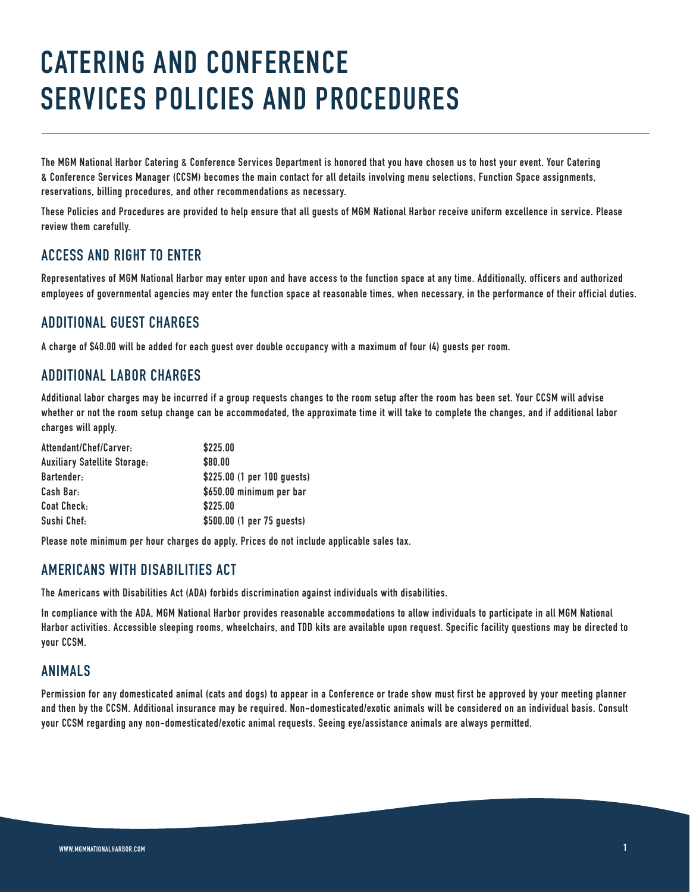# **CATERING AND CONFERENCE SERVICES POLICIES AND PROCEDURES**

**The MGM National Harbor Catering & Conference Services Department is honored that you have chosen us to host your event. Your Catering & Conference Services Manager (CCSM) becomes the main contact for all details involving menu selections, Function Space assignments, reservations, billing procedures, and other recommendations as necessary.**

**These Policies and Procedures are provided to help ensure that all guests of MGM National Harbor receive uniform excellence in service. Please review them carefully.**

# **ACCESS AND RIGHT TO ENTER**

**Representatives of MGM National Harbor may enter upon and have access to the function space at any time. Additionally, officers and authorized employees of governmental agencies may enter the function space at reasonable times, when necessary, in the performance of their official duties.**

# **ADDITIONAL GUEST CHARGES**

**A charge of \$40.00 will be added for each guest over double occupancy with a maximum of four (4) guests per room.**

# **ADDITIONAL LABOR CHARGES**

**Additional labor charges may be incurred if a group requests changes to the room setup after the room has been set. Your CCSM will advise whether or not the room setup change can be accommodated, the approximate time it will take to complete the changes, and if additional labor charges will apply.**

| Attendant/Chef/Carver:              | \$225.00                    |
|-------------------------------------|-----------------------------|
| <b>Auxiliary Satellite Storage:</b> | \$80.00                     |
| Bartender:                          | \$225.00 (1 per 100 quests) |
| Cash Bar:                           | \$650.00 minimum per bar    |
| <b>Coat Check:</b>                  | \$225.00                    |
| Sushi Chef:                         | \$500.00 (1 per 75 guests)  |

**Please note minimum per hour charges do apply. Prices do not include applicable sales tax.**

# **AMERICANS WITH DISABILITIES ACT**

**The Americans with Disabilities Act (ADA) forbids discrimination against individuals with disabilities.**

**In compliance with the ADA, MGM National Harbor provides reasonable accommodations to allow individuals to participate in all MGM National Harbor activities. Accessible sleeping rooms, wheelchairs, and TDD kits are available upon request. Specific facility questions may be directed to your CCSM.**

## **ANIMALS**

**Permission for any domesticated animal (cats and dogs) to appear in a Conference or trade show must first be approved by your meeting planner and then by the CCSM. Additional insurance may be required. Non-domesticated/exotic animals will be considered on an individual basis. Consult your CCSM regarding any non-domesticated/exotic animal requests. Seeing eye/assistance animals are always permitted.**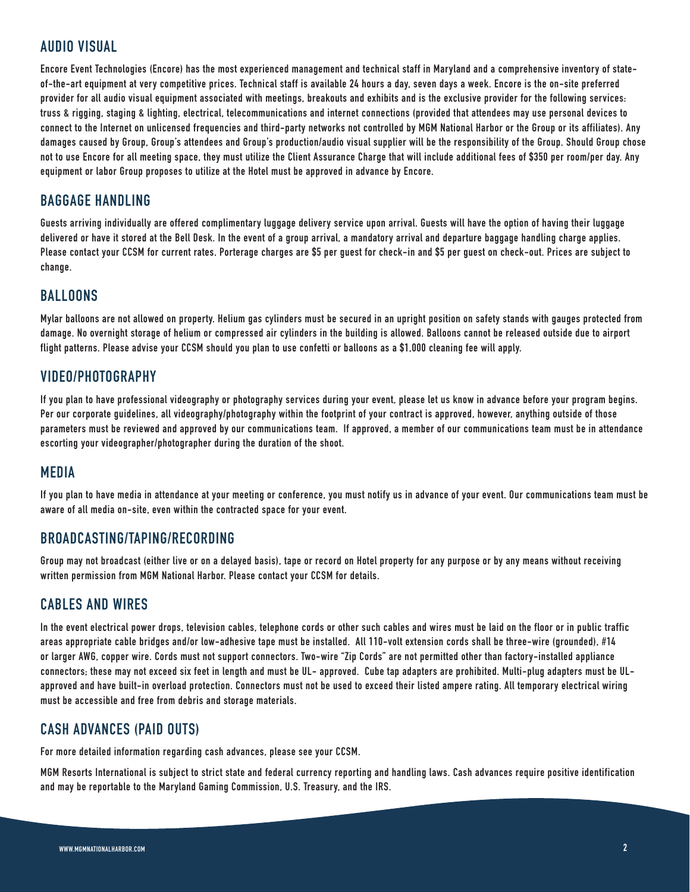# **AUDIO VISUAL**

**Encore Event Technologies (Encore) has the most experienced management and technical staff in Maryland and a comprehensive inventory of stateof-the-art equipment at very competitive prices. Technical staff is available 24 hours a day, seven days a week. Encore is the on-site preferred provider for all audio visual equipment associated with meetings, breakouts and exhibits and is the exclusive provider for the following services: truss & rigging, staging & lighting, electrical, telecommunications and internet connections (provided that attendees may use personal devices to connect to the Internet on unlicensed frequencies and third-party networks not controlled by MGM National Harbor or the Group or its affiliates). Any damages caused by Group, Group's attendees and Group's production/audio visual supplier will be the responsibility of the Group. Should Group chose not to use Encore for all meeting space, they must utilize the Client Assurance Charge that will include additional fees of \$350 per room/per day. Any equipment or labor Group proposes to utilize at the Hotel must be approved in advance by Encore.**

# **BAGGAGE HANDLING**

**Guests arriving individually are offered complimentary luggage delivery service upon arrival. Guests will have the option of having their luggage delivered or have it stored at the Bell Desk. In the event of a group arrival, a mandatory arrival and departure baggage handling charge applies. Please contact your CCSM for current rates. Porterage charges are \$5 per guest for check-in and \$5 per guest on check-out. Prices are subject to change.**

#### **BALLOONS**

**Mylar balloons are not allowed on property. Helium gas cylinders must be secured in an upright position on safety stands with gauges protected from damage. No overnight storage of helium or compressed air cylinders in the building is allowed. Balloons cannot be released outside due to airport flight patterns. Please advise your CCSM should you plan to use confetti or balloons as a \$1,000 cleaning fee will apply.**

# **VIDEO/PHOTOGRAPHY**

**If you plan to have professional videography or photography services during your event, please let us know in advance before your program begins. Per our corporate guidelines, all videography/photography within the footprint of your contract is approved, however, anything outside of those parameters must be reviewed and approved by our communications team. If approved, a member of our communications team must be in attendance escorting your videographer/photographer during the duration of the shoot.**

#### **MEDIA**

**If you plan to have media in attendance at your meeting or conference, you must notify us in advance of your event. Our communications team must be aware of all media on-site, even within the contracted space for your event.**

#### **BROADCASTING/TAPING/RECORDING**

**Group may not broadcast (either live or on a delayed basis), tape or record on Hotel property for any purpose or by any means without receiving written permission from MGM National Harbor. Please contact your CCSM for details.**

#### **CABLES AND WIRES**

**In the event electrical power drops, television cables, telephone cords or other such cables and wires must be laid on the floor or in public traffic areas appropriate cable bridges and/or low-adhesive tape must be installed. All 110-volt extension cords shall be three-wire (grounded), #14 or larger AWG, copper wire. Cords must not support connectors. Two-wire "Zip Cords" are not permitted other than factory-installed appliance connectors; these may not exceed six feet in length and must be UL- approved. Cube tap adapters are prohibited. Multi-plug adapters must be ULapproved and have built-in overload protection. Connectors must not be used to exceed their listed ampere rating. All temporary electrical wiring must be accessible and free from debris and storage materials.**

## **CASH ADVANCES (PAID OUTS)**

**For more detailed information regarding cash advances, please see your CCSM.**

**MGM Resorts International is subject to strict state and federal currency reporting and handling laws. Cash advances require positive identification and may be reportable to the Maryland Gaming Commission, U.S. Treasury, and the IRS.**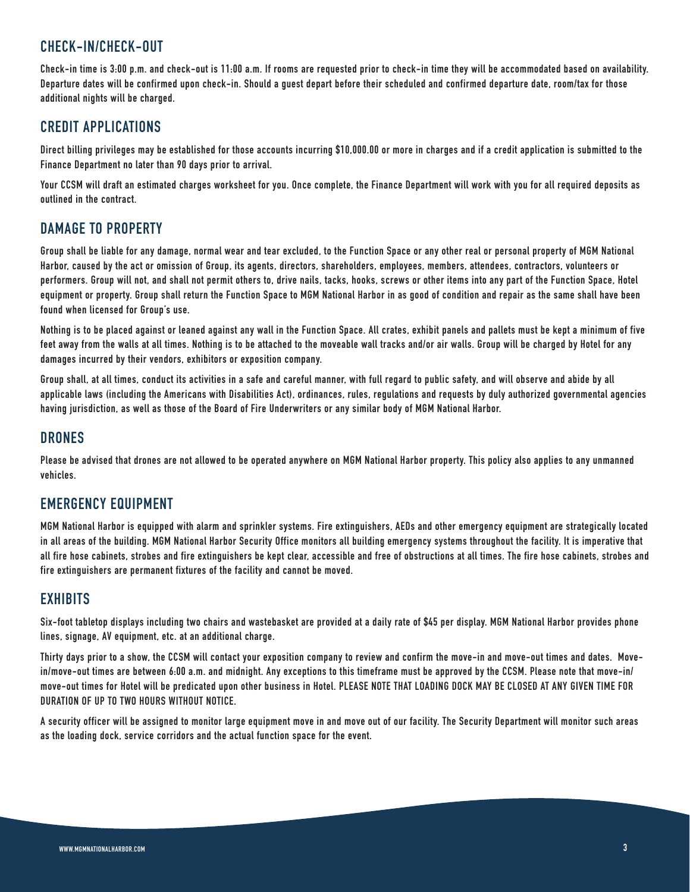## **CHECK-IN/CHECK-OUT**

**Check-in time is 3:00 p.m. and check-out is 11:00 a.m. If rooms are requested prior to check-in time they will be accommodated based on availability. Departure dates will be confirmed upon check-in. Should a guest depart before their scheduled and confirmed departure date, room/tax for those additional nights will be charged.** 

## **CREDIT APPLICATIONS**

**Direct billing privileges may be established for those accounts incurring \$10,000.00 or more in charges and if a credit application is submitted to the Finance Department no later than 90 days prior to arrival.** 

**Your CCSM will draft an estimated charges worksheet for you. Once complete, the Finance Department will work with you for all required deposits as outlined in the contract.**

# **DAMAGE TO PROPERTY**

**Group shall be liable for any damage, normal wear and tear excluded, to the Function Space or any other real or personal property of MGM National Harbor, caused by the act or omission of Group, its agents, directors, shareholders, employees, members, attendees, contractors, volunteers or performers. Group will not, and shall not permit others to, drive nails, tacks, hooks, screws or other items into any part of the Function Space, Hotel equipment or property. Group shall return the Function Space to MGM National Harbor in as good of condition and repair as the same shall have been found when licensed for Group's use.**

**Nothing is to be placed against or leaned against any wall in the Function Space. All crates, exhibit panels and pallets must be kept a minimum of five feet away from the walls at all times. Nothing is to be attached to the moveable wall tracks and/or air walls. Group will be charged by Hotel for any damages incurred by their vendors, exhibitors or exposition company.**

**Group shall, at all times, conduct its activities in a safe and careful manner, with full regard to public safety, and will observe and abide by all applicable laws (including the Americans with Disabilities Act), ordinances, rules, regulations and requests by duly authorized governmental agencies having jurisdiction, as well as those of the Board of Fire Underwriters or any similar body of MGM National Harbor.**

#### **DRONES**

**Please be advised that drones are not allowed to be operated anywhere on MGM National Harbor property. This policy also applies to any unmanned vehicles.**

## **EMERGENCY EQUIPMENT**

**MGM National Harbor is equipped with alarm and sprinkler systems. Fire extinguishers, AEDs and other emergency equipment are strategically located in all areas of the building. MGM National Harbor Security Office monitors all building emergency systems throughout the facility. It is imperative that all fire hose cabinets, strobes and fire extinguishers be kept clear, accessible and free of obstructions at all times. The fire hose cabinets, strobes and fire extinguishers are permanent fixtures of the facility and cannot be moved.**

# **EXHIBITS**

**Six-foot tabletop displays including two chairs and wastebasket are provided at a daily rate of \$45 per display. MGM National Harbor provides phone lines, signage, AV equipment, etc. at an additional charge.**

**Thirty days prior to a show, the CCSM will contact your exposition company to review and confirm the move-in and move-out times and dates. Movein/move-out times are between 6:00 a.m. and midnight. Any exceptions to this timeframe must be approved by the CCSM. Please note that move-in/ move-out times for Hotel will be predicated upon other business in Hotel. PLEASE NOTE THAT LOADING DOCK MAY BE CLOSED AT ANY GIVEN TIME FOR DURATION OF UP TO TWO HOURS WITHOUT NOTICE.** 

**A security officer will be assigned to monitor large equipment move in and move out of our facility. The Security Department will monitor such areas as the loading dock, service corridors and the actual function space for the event.**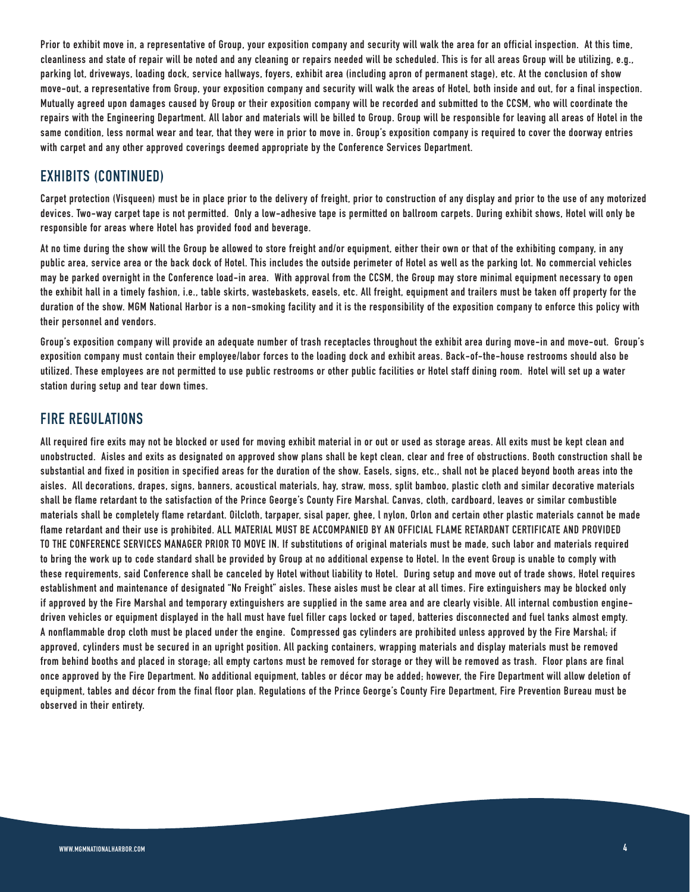**Prior to exhibit move in, a representative of Group, your exposition company and security will walk the area for an official inspection. At this time, cleanliness and state of repair will be noted and any cleaning or repairs needed will be scheduled. This is for all areas Group will be utilizing, e.g., parking lot, driveways, loading dock, service hallways, foyers, exhibit area (including apron of permanent stage), etc. At the conclusion of show move-out, a representative from Group, your exposition company and security will walk the areas of Hotel, both inside and out, for a final inspection. Mutually agreed upon damages caused by Group or their exposition company will be recorded and submitted to the CCSM, who will coordinate the repairs with the Engineering Department. All labor and materials will be billed to Group. Group will be responsible for leaving all areas of Hotel in the same condition, less normal wear and tear, that they were in prior to move in. Group's exposition company is required to cover the doorway entries with carpet and any other approved coverings deemed appropriate by the Conference Services Department.** 

# **EXHIBITS (CONTINUED)**

**Carpet protection (Visqueen) must be in place prior to the delivery of freight, prior to construction of any display and prior to the use of any motorized devices. Two-way carpet tape is not permitted. Only a low-adhesive tape is permitted on ballroom carpets. During exhibit shows, Hotel will only be responsible for areas where Hotel has provided food and beverage.** 

**At no time during the show will the Group be allowed to store freight and/or equipment, either their own or that of the exhibiting company, in any public area, service area or the back dock of Hotel. This includes the outside perimeter of Hotel as well as the parking lot. No commercial vehicles may be parked overnight in the Conference load-in area. With approval from the CCSM, the Group may store minimal equipment necessary to open the exhibit hall in a timely fashion, i.e., table skirts, wastebaskets, easels, etc. All freight, equipment and trailers must be taken off property for the duration of the show. MGM National Harbor is a non-smoking facility and it is the responsibility of the exposition company to enforce this policy with their personnel and vendors.** 

**Group's exposition company will provide an adequate number of trash receptacles throughout the exhibit area during move-in and move-out. Group's exposition company must contain their employee/labor forces to the loading dock and exhibit areas. Back-of-the-house restrooms should also be utilized. These employees are not permitted to use public restrooms or other public facilities or Hotel staff dining room. Hotel will set up a water station during setup and tear down times.**

# **FIRE REGULATIONS**

**All required fire exits may not be blocked or used for moving exhibit material in or out or used as storage areas. All exits must be kept clean and unobstructed. Aisles and exits as designated on approved show plans shall be kept clean, clear and free of obstructions. Booth construction shall be substantial and fixed in position in specified areas for the duration of the show. Easels, signs, etc., shall not be placed beyond booth areas into the aisles. All decorations, drapes, signs, banners, acoustical materials, hay, straw, moss, split bamboo, plastic cloth and similar decorative materials shall be flame retardant to the satisfaction of the Prince George's County Fire Marshal. Canvas, cloth, cardboard, leaves or similar combustible materials shall be completely flame retardant. Oilcloth, tarpaper, sisal paper, ghee, l nylon, Orlon and certain other plastic materials cannot be made flame retardant and their use is prohibited. ALL MATERIAL MUST BE ACCOMPANIED BY AN OFFICIAL FLAME RETARDANT CERTIFICATE AND PROVIDED TO THE CONFERENCE SERVICES MANAGER PRIOR TO MOVE IN. If substitutions of original materials must be made, such labor and materials required to bring the work up to code standard shall be provided by Group at no additional expense to Hotel. In the event Group is unable to comply with these requirements, said Conference shall be canceled by Hotel without liability to Hotel. During setup and move out of trade shows, Hotel requires establishment and maintenance of designated "No Freight" aisles. These aisles must be clear at all times. Fire extinguishers may be blocked only if approved by the Fire Marshal and temporary extinguishers are supplied in the same area and are clearly visible. All internal combustion enginedriven vehicles or equipment displayed in the hall must have fuel filler caps locked or taped, batteries disconnected and fuel tanks almost empty. A nonflammable drop cloth must be placed under the engine. Compressed gas cylinders are prohibited unless approved by the Fire Marshal; if approved, cylinders must be secured in an upright position. All packing containers, wrapping materials and display materials must be removed from behind booths and placed in storage; all empty cartons must be removed for storage or they will be removed as trash. Floor plans are final once approved by the Fire Department. No additional equipment, tables or décor may be added; however, the Fire Department will allow deletion of equipment, tables and décor from the final floor plan. Regulations of the Prince George's County Fire Department, Fire Prevention Bureau must be observed in their entirety.**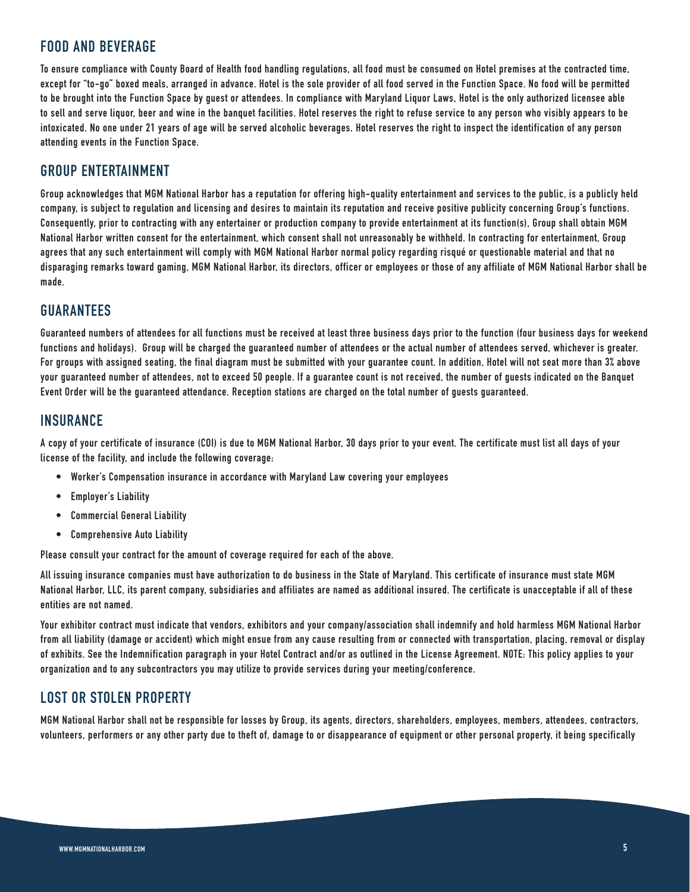# **FOOD AND BEVERAGE**

**To ensure compliance with County Board of Health food handling regulations, all food must be consumed on Hotel premises at the contracted time, except for "to-go" boxed meals, arranged in advance. Hotel is the sole provider of all food served in the Function Space. No food will be permitted to be brought into the Function Space by guest or attendees. In compliance with Maryland Liquor Laws, Hotel is the only authorized licensee able to sell and serve liquor, beer and wine in the banquet facilities. Hotel reserves the right to refuse service to any person who visibly appears to be intoxicated. No one under 21 years of age will be served alcoholic beverages. Hotel reserves the right to inspect the identification of any person attending events in the Function Space.**

# **GROUP ENTERTAINMENT**

**Group acknowledges that MGM National Harbor has a reputation for offering high-quality entertainment and services to the public, is a publicly held company, is subject to regulation and licensing and desires to maintain its reputation and receive positive publicity concerning Group's functions. Consequently, prior to contracting with any entertainer or production company to provide entertainment at its function(s), Group shall obtain MGM National Harbor written consent for the entertainment, which consent shall not unreasonably be withheld. In contracting for entertainment, Group agrees that any such entertainment will comply with MGM National Harbor normal policy regarding risqué or questionable material and that no disparaging remarks toward gaming, MGM National Harbor, its directors, officer or employees or those of any affiliate of MGM National Harbor shall be made.**

# **GUARANTEES**

**Guaranteed numbers of attendees for all functions must be received at least three business days prior to the function (four business days for weekend functions and holidays). Group will be charged the guaranteed number of attendees or the actual number of attendees served, whichever is greater. For groups with assigned seating, the final diagram must be submitted with your guarantee count. In addition, Hotel will not seat more than 3% above your guaranteed number of attendees, not to exceed 50 people. If a guarantee count is not received, the number of guests indicated on the Banquet Event Order will be the guaranteed attendance. Reception stations are charged on the total number of guests guaranteed.**

#### **INSURANCE**

**A copy of your certificate of insurance (COI) is due to MGM National Harbor, 30 days prior to your event. The certificate must list all days of your license of the facility, and include the following coverage:**

- **• Worker's Compensation insurance in accordance with Maryland Law covering your employees**
- **• Employer's Liability**
- **• Commercial General Liability**
- **• Comprehensive Auto Liability**

**Please consult your contract for the amount of coverage required for each of the above.**

**All issuing insurance companies must have authorization to do business in the State of Maryland. This certificate of insurance must state MGM National Harbor, LLC, its parent company, subsidiaries and affiliates are named as additional insured. The certificate is unacceptable if all of these entities are not named.**

**Your exhibitor contract must indicate that vendors, exhibitors and your company/association shall indemnify and hold harmless MGM National Harbor from all liability (damage or accident) which might ensue from any cause resulting from or connected with transportation, placing, removal or display of exhibits. See the Indemnification paragraph in your Hotel Contract and/or as outlined in the License Agreement. NOTE: This policy applies to your organization and to any subcontractors you may utilize to provide services during your meeting/conference.**

## **LOST OR STOLEN PROPERTY**

**MGM National Harbor shall not be responsible for losses by Group, its agents, directors, shareholders, employees, members, attendees, contractors, volunteers, performers or any other party due to theft of, damage to or disappearance of equipment or other personal property, it being specifically**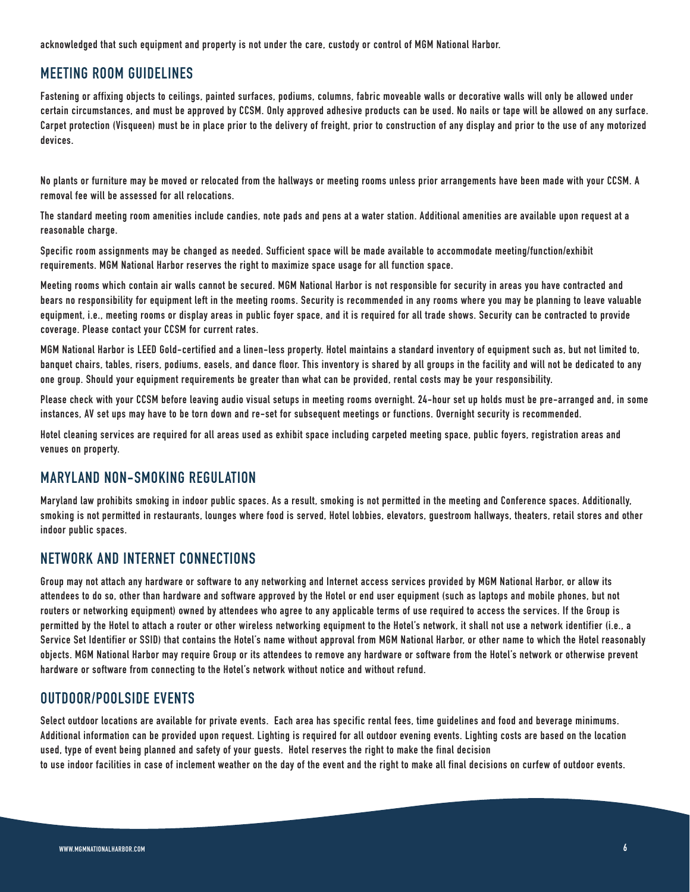**acknowledged that such equipment and property is not under the care, custody or control of MGM National Harbor.**

# **MEETING ROOM GUIDELINES**

**Fastening or affixing objects to ceilings, painted surfaces, podiums, columns, fabric moveable walls or decorative walls will only be allowed under certain circumstances, and must be approved by CCSM. Only approved adhesive products can be used. No nails or tape will be allowed on any surface. Carpet protection (Visqueen) must be in place prior to the delivery of freight, prior to construction of any display and prior to the use of any motorized devices.**

**No plants or furniture may be moved or relocated from the hallways or meeting rooms unless prior arrangements have been made with your CCSM. A removal fee will be assessed for all relocations.**

**The standard meeting room amenities include candies, note pads and pens at a water station. Additional amenities are available upon request at a reasonable charge.**

**Specific room assignments may be changed as needed. Sufficient space will be made available to accommodate meeting/function/exhibit requirements. MGM National Harbor reserves the right to maximize space usage for all function space.**

**Meeting rooms which contain air walls cannot be secured. MGM National Harbor is not responsible for security in areas you have contracted and bears no responsibility for equipment left in the meeting rooms. Security is recommended in any rooms where you may be planning to leave valuable equipment, i.e., meeting rooms or display areas in public foyer space, and it is required for all trade shows. Security can be contracted to provide coverage. Please contact your CCSM for current rates.**

**MGM National Harbor is LEED Gold-certified and a linen-less property. Hotel maintains a standard inventory of equipment such as, but not limited to, banquet chairs, tables, risers, podiums, easels, and dance floor. This inventory is shared by all groups in the facility and will not be dedicated to any one group. Should your equipment requirements be greater than what can be provided, rental costs may be your responsibility.**

**Please check with your CCSM before leaving audio visual setups in meeting rooms overnight. 24-hour set up holds must be pre-arranged and, in some instances, AV set ups may have to be torn down and re-set for subsequent meetings or functions. Overnight security is recommended.**

**Hotel cleaning services are required for all areas used as exhibit space including carpeted meeting space, public foyers, registration areas and venues on property.** 

## **MARYLAND NON-SMOKING REGULATION**

**Maryland law prohibits smoking in indoor public spaces. As a result, smoking is not permitted in the meeting and Conference spaces. Additionally, smoking is not permitted in restaurants, lounges where food is served, Hotel lobbies, elevators, guestroom hallways, theaters, retail stores and other indoor public spaces.** 

# **NETWORK AND INTERNET CONNECTIONS**

**Group may not attach any hardware or software to any networking and Internet access services provided by MGM National Harbor, or allow its attendees to do so, other than hardware and software approved by the Hotel or end user equipment (such as laptops and mobile phones, but not routers or networking equipment) owned by attendees who agree to any applicable terms of use required to access the services. If the Group is permitted by the Hotel to attach a router or other wireless networking equipment to the Hotel's network, it shall not use a network identifier (i.e., a Service Set Identifier or SSID) that contains the Hotel's name without approval from MGM National Harbor, or other name to which the Hotel reasonably objects. MGM National Harbor may require Group or its attendees to remove any hardware or software from the Hotel's network or otherwise prevent hardware or software from connecting to the Hotel's network without notice and without refund.**

## **OUTDOOR/POOLSIDE EVENTS**

**Select outdoor locations are available for private events. Each area has specific rental fees, time guidelines and food and beverage minimums. Additional information can be provided upon request. Lighting is required for all outdoor evening events. Lighting costs are based on the location used, type of event being planned and safety of your guests. Hotel reserves the right to make the final decision to use indoor facilities in case of inclement weather on the day of the event and the right to make all final decisions on curfew of outdoor events.**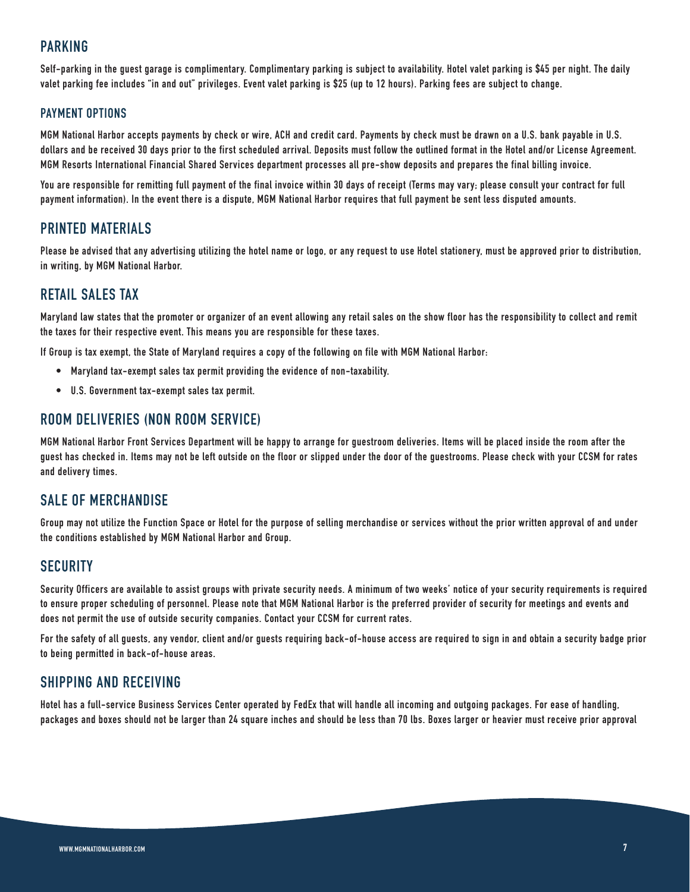## **PARKING**

**Self-parking in the guest garage is complimentary. Complimentary parking is subject to availability. Hotel valet parking is \$45 per night. The daily valet parking fee includes "in and out" privileges. Event valet parking is \$25 (up to 12 hours). Parking fees are subject to change.**

#### **PAYMENT OPTIONS**

**MGM National Harbor accepts payments by check or wire, ACH and credit card. Payments by check must be drawn on a U.S. bank payable in U.S. dollars and be received 30 days prior to the first scheduled arrival. Deposits must follow the outlined format in the Hotel and/or License Agreement. MGM Resorts International Financial Shared Services department processes all pre-show deposits and prepares the final billing invoice.** 

**You are responsible for remitting full payment of the final invoice within 30 days of receipt (Terms may vary; please consult your contract for full payment information). In the event there is a dispute, MGM National Harbor requires that full payment be sent less disputed amounts.**

# **PRINTED MATERIALS**

**Please be advised that any advertising utilizing the hotel name or logo, or any request to use Hotel stationery, must be approved prior to distribution, in writing, by MGM National Harbor.**

## **RETAIL SALES TAX**

**Maryland law states that the promoter or organizer of an event allowing any retail sales on the show floor has the responsibility to collect and remit the taxes for their respective event. This means you are responsible for these taxes.**

**If Group is tax exempt, the State of Maryland requires a copy of the following on file with MGM National Harbor:**

- **• Maryland tax-exempt sales tax permit providing the evidence of non-taxability.**
- **• U.S. Government tax-exempt sales tax permit.**

#### **ROOM DELIVERIES (NON ROOM SERVICE)**

**MGM National Harbor Front Services Department will be happy to arrange for guestroom deliveries. Items will be placed inside the room after the guest has checked in. Items may not be left outside on the floor or slipped under the door of the guestrooms. Please check with your CCSM for rates and delivery times.**

#### **SALE OF MERCHANDISE**

**Group may not utilize the Function Space or Hotel for the purpose of selling merchandise or services without the prior written approval of and under the conditions established by MGM National Harbor and Group.** 

#### **SECURITY**

**Security Officers are available to assist groups with private security needs. A minimum of two weeks' notice of your security requirements is required to ensure proper scheduling of personnel. Please note that MGM National Harbor is the preferred provider of security for meetings and events and does not permit the use of outside security companies. Contact your CCSM for current rates.**

**For the safety of all guests, any vendor, client and/or guests requiring back-of-house access are required to sign in and obtain a security badge prior to being permitted in back-of-house areas.**

#### **SHIPPING AND RECEIVING**

**Hotel has a full-service Business Services Center operated by FedEx that will handle all incoming and outgoing packages. For ease of handling, packages and boxes should not be larger than 24 square inches and should be less than 70 lbs. Boxes larger or heavier must receive prior approval**